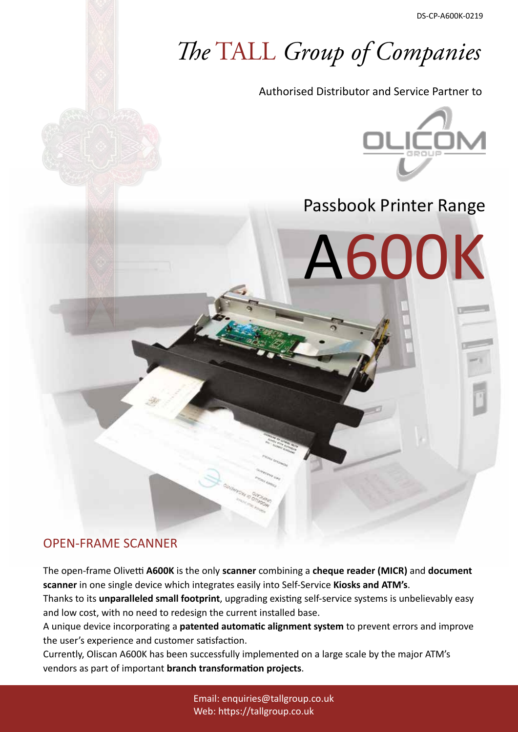DS-CP-A600K-0219

# *The* TALL *Group of Companies*

Authorised Distributor and Service Partner to



Passbook Printer Range



## OPEN-FRAME SCANNER

The open-frame Olivetti **A600K** is the only **scanner** combining a **cheque reader (MICR)** and **document scanner** in one single device which integrates easily into Self-Service **Kiosks and ATM's**.

Thanks to its **unparalleled small footprint**, upgrading existing self-service systems is unbelievably easy and low cost, with no need to redesign the current installed base.

A unique device incorporating a **patented automatic alignment system** to prevent errors and improve the user's experience and customer satisfaction.

Currently, Oliscan A600K has been successfully implemented on a large scale by the major ATM's vendors as part of important **branch transformation projects**.

> Email: enquiries@tallgroup.co.uk Web: https://tallgroup.co.uk